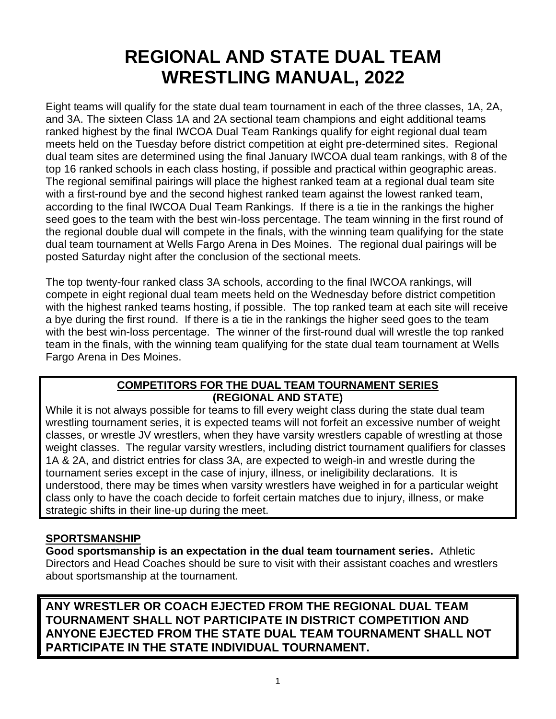# **REGIONAL AND STATE DUAL TEAM WRESTLING MANUAL, 2022**

Eight teams will qualify for the state dual team tournament in each of the three classes, 1A, 2A, and 3A. The sixteen Class 1A and 2A sectional team champions and eight additional teams ranked highest by the final IWCOA Dual Team Rankings qualify for eight regional dual team meets held on the Tuesday before district competition at eight pre-determined sites. Regional dual team sites are determined using the final January IWCOA dual team rankings, with 8 of the top 16 ranked schools in each class hosting, if possible and practical within geographic areas. The regional semifinal pairings will place the highest ranked team at a regional dual team site with a first-round bye and the second highest ranked team against the lowest ranked team, according to the final IWCOA Dual Team Rankings. If there is a tie in the rankings the higher seed goes to the team with the best win-loss percentage. The team winning in the first round of the regional double dual will compete in the finals, with the winning team qualifying for the state dual team tournament at Wells Fargo Arena in Des Moines. The regional dual pairings will be posted Saturday night after the conclusion of the sectional meets.

The top twenty-four ranked class 3A schools, according to the final IWCOA rankings, will compete in eight regional dual team meets held on the Wednesday before district competition with the highest ranked teams hosting, if possible. The top ranked team at each site will receive a bye during the first round. If there is a tie in the rankings the higher seed goes to the team with the best win-loss percentage. The winner of the first-round dual will wrestle the top ranked team in the finals, with the winning team qualifying for the state dual team tournament at Wells Fargo Arena in Des Moines.

#### **COMPETITORS FOR THE DUAL TEAM TOURNAMENT SERIES (REGIONAL AND STATE)**

While it is not always possible for teams to fill every weight class during the state dual team wrestling tournament series, it is expected teams will not forfeit an excessive number of weight classes, or wrestle JV wrestlers, when they have varsity wrestlers capable of wrestling at those weight classes. The regular varsity wrestlers, including district tournament qualifiers for classes 1A & 2A, and district entries for class 3A, are expected to weigh-in and wrestle during the tournament series except in the case of injury, illness, or ineligibility declarations. It is understood, there may be times when varsity wrestlers have weighed in for a particular weight class only to have the coach decide to forfeit certain matches due to injury, illness, or make strategic shifts in their line-up during the meet.

# **SPORTSMANSHIP**

**Good sportsmanship is an expectation in the dual team tournament series.** Athletic Directors and Head Coaches should be sure to visit with their assistant coaches and wrestlers about sportsmanship at the tournament.

**ANY WRESTLER OR COACH EJECTED FROM THE REGIONAL DUAL TEAM TOURNAMENT SHALL NOT PARTICIPATE IN DISTRICT COMPETITION AND ANYONE EJECTED FROM THE STATE DUAL TEAM TOURNAMENT SHALL NOT PARTICIPATE IN THE STATE INDIVIDUAL TOURNAMENT.**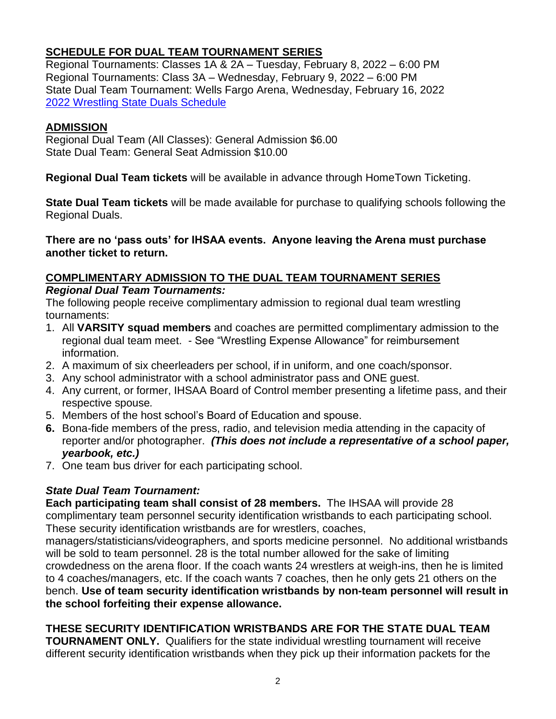# **SCHEDULE FOR DUAL TEAM TOURNAMENT SERIES**

Regional Tournaments: Classes 1A & 2A – Tuesday, February 8, 2022 – 6:00 PM Regional Tournaments: Class 3A – Wednesday, February 9, 2022 – 6:00 PM State Dual Team Tournament: Wells Fargo Arena, Wednesday, February 16, 2022 [2022 Wrestling State Duals Schedule](https://www.iahsaa.org/wp-content/uploads/2021/10/State_Dual_Schedule_2022.xlsx)

#### **ADMISSION**

Regional Dual Team (All Classes): General Admission \$6.00 State Dual Team: General Seat Admission \$10.00

**Regional Dual Team tickets** will be available in advance through HomeTown Ticketing.

**State Dual Team tickets** will be made available for purchase to qualifying schools following the Regional Duals.

**There are no 'pass outs' for IHSAA events. Anyone leaving the Arena must purchase another ticket to return.**

# **COMPLIMENTARY ADMISSION TO THE DUAL TEAM TOURNAMENT SERIES**

*Regional Dual Team Tournaments:*

The following people receive complimentary admission to regional dual team wrestling tournaments:

- 1. All **VARSITY squad members** and coaches are permitted complimentary admission to the regional dual team meet. - See "Wrestling Expense Allowance" for reimbursement information.
- 2. A maximum of six cheerleaders per school, if in uniform, and one coach/sponsor.
- 3. Any school administrator with a school administrator pass and ONE guest.
- 4. Any current, or former, IHSAA Board of Control member presenting a lifetime pass, and their respective spouse*.*
- 5. Members of the host school's Board of Education and spouse.
- **6.** Bona-fide members of the press, radio, and television media attending in the capacity of reporter and/or photographer. *(This does not include a representative of a school paper, yearbook, etc.)*
- 7. One team bus driver for each participating school.

# *State Dual Team Tournament:*

**Each participating team shall consist of 28 members.** The IHSAA will provide 28 complimentary team personnel security identification wristbands to each participating school. These security identification wristbands are for wrestlers, coaches,

managers/statisticians/videographers, and sports medicine personnel. No additional wristbands will be sold to team personnel. 28 is the total number allowed for the sake of limiting crowdedness on the arena floor. If the coach wants 24 wrestlers at weigh-ins, then he is limited to 4 coaches/managers, etc. If the coach wants 7 coaches, then he only gets 21 others on the bench. **Use of team security identification wristbands by non-team personnel will result in the school forfeiting their expense allowance.**

# **THESE SECURITY IDENTIFICATION WRISTBANDS ARE FOR THE STATE DUAL TEAM**

**TOURNAMENT ONLY.** Qualifiers for the state individual wrestling tournament will receive different security identification wristbands when they pick up their information packets for the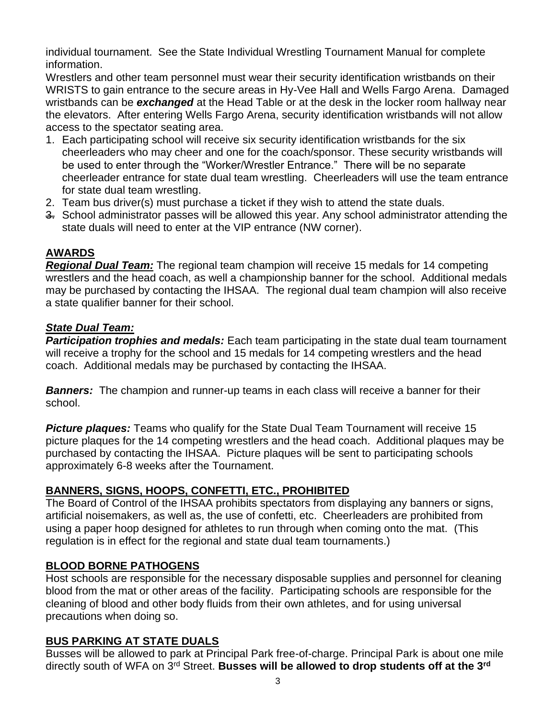individual tournament. See the State Individual Wrestling Tournament Manual for complete information.

Wrestlers and other team personnel must wear their security identification wristbands on their WRISTS to gain entrance to the secure areas in Hy-Vee Hall and Wells Fargo Arena. Damaged wristbands can be *exchanged* at the Head Table or at the desk in the locker room hallway near the elevators. After entering Wells Fargo Arena, security identification wristbands will not allow access to the spectator seating area.

- 1. Each participating school will receive six security identification wristbands for the six cheerleaders who may cheer and one for the coach/sponsor. These security wristbands will be used to enter through the "Worker/Wrestler Entrance." There will be no separate cheerleader entrance for state dual team wrestling. Cheerleaders will use the team entrance for state dual team wrestling.
- 2. Team bus driver(s) must purchase a ticket if they wish to attend the state duals.
- $\frac{3}{2}$ . School administrator passes will be allowed this year. Any school administrator attending the state duals will need to enter at the VIP entrance (NW corner).

# **AWARDS**

*Regional Dual Team:* The regional team champion will receive 15 medals for 14 competing wrestlers and the head coach, as well a championship banner for the school. Additional medals may be purchased by contacting the IHSAA. The regional dual team champion will also receive a state qualifier banner for their school.

# *State Dual Team:*

*Participation trophies and medals:* Each team participating in the state dual team tournament will receive a trophy for the school and 15 medals for 14 competing wrestlers and the head coach. Additional medals may be purchased by contacting the IHSAA.

*Banners:* The champion and runner-up teams in each class will receive a banner for their school.

*Picture plaques:* Teams who qualify for the State Dual Team Tournament will receive 15 picture plaques for the 14 competing wrestlers and the head coach. Additional plaques may be purchased by contacting the IHSAA. Picture plaques will be sent to participating schools approximately 6-8 weeks after the Tournament.

# **BANNERS, SIGNS, HOOPS, CONFETTI, ETC., PROHIBITED**

The Board of Control of the IHSAA prohibits spectators from displaying any banners or signs, artificial noisemakers, as well as, the use of confetti, etc. Cheerleaders are prohibited from using a paper hoop designed for athletes to run through when coming onto the mat. (This regulation is in effect for the regional and state dual team tournaments.)

# **BLOOD BORNE PATHOGENS**

Host schools are responsible for the necessary disposable supplies and personnel for cleaning blood from the mat or other areas of the facility. Participating schools are responsible for the cleaning of blood and other body fluids from their own athletes, and for using universal precautions when doing so.

# **BUS PARKING AT STATE DUALS**

Busses will be allowed to park at Principal Park free-of-charge. Principal Park is about one mile directly south of WFA on 3rd Street. **Busses will be allowed to drop students off at the 3rd**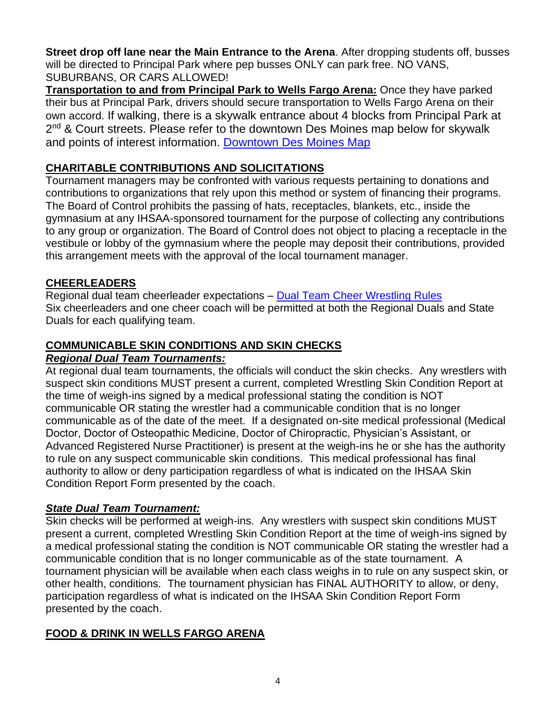**Street drop off lane near the Main Entrance to the Arena**. After dropping students off, busses will be directed to Principal Park where pep busses ONLY can park free. NO VANS, SUBURBANS, OR CARS ALLOWED!

**Transportation to and from Principal Park to Wells Fargo Arena:** Once they have parked their bus at Principal Park, drivers should secure transportation to Wells Fargo Arena on their own accord. If walking, there is a skywalk entrance about 4 blocks from Principal Park at 2<sup>nd</sup> & Court streets. Please refer to the downtown Des Moines map below for skywalk and points of interest information. [Downtown Des Moines Map](https://assets.simpleviewinc.com/simpleview/image/upload/v1/clients/desmoines/Downtown_Des_Moines_Navigation_Map_2019_12_05_e75eda09-baf7-4eeb-86fa-6a0fea5a0339.pdf)

# **CHARITABLE CONTRIBUTIONS AND SOLICITATIONS**

Tournament managers may be confronted with various requests pertaining to donations and contributions to organizations that rely upon this method or system of financing their programs. The Board of Control prohibits the passing of hats, receptacles, blankets, etc., inside the gymnasium at any IHSAA-sponsored tournament for the purpose of collecting any contributions to any group or organization. The Board of Control does not object to placing a receptacle in the vestibule or lobby of the gymnasium where the people may deposit their contributions, provided this arrangement meets with the approval of the local tournament manager.

# **CHEERLEADERS**

Regional dual team cheerleader expectations – Dual Team [Cheer Wrestling Rules](https://www.iowacheercoaches.org/) Six cheerleaders and one cheer coach will be permitted at both the Regional Duals and State Duals for each qualifying team.

# **COMMUNICABLE SKIN CONDITIONS AND SKIN CHECKS**

#### *Regional Dual Team Tournaments:*

At regional dual team tournaments, the officials will conduct the skin checks. Any wrestlers with suspect skin conditions MUST present a current, completed Wrestling Skin Condition Report at the time of weigh-ins signed by a medical professional stating the condition is NOT communicable OR stating the wrestler had a communicable condition that is no longer communicable as of the date of the meet. If a designated on-site medical professional (Medical Doctor, Doctor of Osteopathic Medicine, Doctor of Chiropractic, Physician's Assistant, or Advanced Registered Nurse Practitioner) is present at the weigh-ins he or she has the authority to rule on any suspect communicable skin conditions. This medical professional has final authority to allow or deny participation regardless of what is indicated on the IHSAA Skin Condition Report Form presented by the coach.

# *State Dual Team Tournament:*

Skin checks will be performed at weigh-ins. Any wrestlers with suspect skin conditions MUST present a current, completed Wrestling Skin Condition Report at the time of weigh-ins signed by a medical professional stating the condition is NOT communicable OR stating the wrestler had a communicable condition that is no longer communicable as of the state tournament. A tournament physician will be available when each class weighs in to rule on any suspect skin, or other health, conditions. The tournament physician has FINAL AUTHORITY to allow, or deny, participation regardless of what is indicated on the IHSAA Skin Condition Report Form presented by the coach.

# **FOOD & DRINK IN WELLS FARGO ARENA**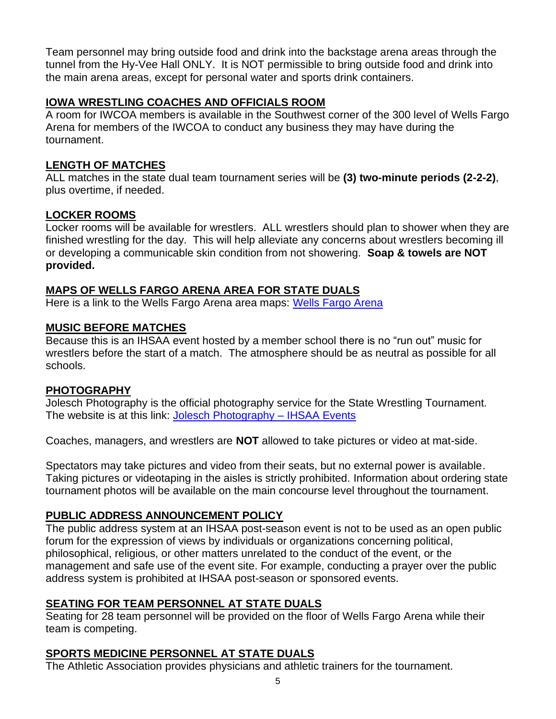Team personnel may bring outside food and drink into the backstage arena areas through the tunnel from the Hy-Vee Hall ONLY. It is NOT permissible to bring outside food and drink into the main arena areas, except for personal water and sports drink containers.

# **IOWA WRESTLING COACHES AND OFFICIALS ROOM**

A room for IWCOA members is available in the Southwest corner of the 300 level of Wells Fargo Arena for members of the IWCOA to conduct any business they may have during the tournament.

#### **LENGTH OF MATCHES**

ALL matches in the state dual team tournament series will be **(3) two-minute periods (2-2-2)**, plus overtime, if needed.

#### **LOCKER ROOMS**

Locker rooms will be available for wrestlers. ALL wrestlers should plan to shower when they are finished wrestling for the day. This will help alleviate any concerns about wrestlers becoming ill or developing a communicable skin condition from not showering. **Soap & towels are NOT provided.**

#### **MAPS OF WELLS FARGO ARENA AREA FOR STATE DUALS**

Here is a link to the Wells Fargo Arena area maps: [Wells Fargo Arena](https://www.iahsaa.org/wp-content/uploads/2021/01/WR-Wells-Fargo-Map-1.27.21.pdf)

#### **MUSIC BEFORE MATCHES**

Because this is an IHSAA event hosted by a member school there is no "run out" music for wrestlers before the start of a match. The atmosphere should be as neutral as possible for all schools.

#### **PHOTOGRAPHY**

Jolesch Photography is the official photography service for the State Wrestling Tournament. The website is at this link: [Jolesch Photography –](http://www.bandgroupphotography.com/IHSAA/Index.html) IHSAA Events

Coaches, managers, and wrestlers are **NOT** allowed to take pictures or video at mat-side.

Spectators may take pictures and video from their seats, but no external power is available. Taking pictures or videotaping in the aisles is strictly prohibited. Information about ordering state tournament photos will be available on the main concourse level throughout the tournament.

# **PUBLIC ADDRESS ANNOUNCEMENT POLICY**

The public address system at an IHSAA post-season event is not to be used as an open public forum for the expression of views by individuals or organizations concerning political, philosophical, religious, or other matters unrelated to the conduct of the event, or the management and safe use of the event site. For example, conducting a prayer over the public address system is prohibited at IHSAA post-season or sponsored events.

# **SEATING FOR TEAM PERSONNEL AT STATE DUALS**

Seating for 28 team personnel will be provided on the floor of Wells Fargo Arena while their team is competing.

# **SPORTS MEDICINE PERSONNEL AT STATE DUALS**

The Athletic Association provides physicians and athletic trainers for the tournament.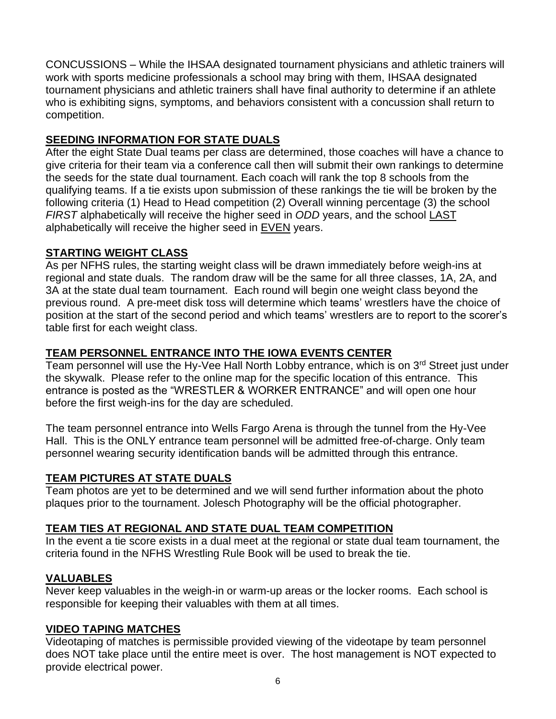CONCUSSIONS – While the IHSAA designated tournament physicians and athletic trainers will work with sports medicine professionals a school may bring with them, IHSAA designated tournament physicians and athletic trainers shall have final authority to determine if an athlete who is exhibiting signs, symptoms, and behaviors consistent with a concussion shall return to competition.

# **SEEDING INFORMATION FOR STATE DUALS**

After the eight State Dual teams per class are determined, those coaches will have a chance to give criteria for their team via a conference call then will submit their own rankings to determine the seeds for the state dual tournament. Each coach will rank the top 8 schools from the qualifying teams. If a tie exists upon submission of these rankings the tie will be broken by the following criteria (1) Head to Head competition (2) Overall winning percentage (3) the school *FIRST* alphabetically will receive the higher seed in *ODD* years, and the school LAST alphabetically will receive the higher seed in EVEN years.

# **STARTING WEIGHT CLASS**

As per NFHS rules, the starting weight class will be drawn immediately before weigh-ins at regional and state duals. The random draw will be the same for all three classes, 1A, 2A, and 3A at the state dual team tournament. Each round will begin one weight class beyond the previous round. A pre-meet disk toss will determine which teams' wrestlers have the choice of position at the start of the second period and which teams' wrestlers are to report to the scorer's table first for each weight class.

# **TEAM PERSONNEL ENTRANCE INTO THE IOWA EVENTS CENTER**

Team personnel will use the Hy-Vee Hall North Lobby entrance, which is on  $3<sup>rd</sup>$  Street just under the skywalk. Please refer to the online map for the specific location of this entrance. This entrance is posted as the "WRESTLER & WORKER ENTRANCE" and will open one hour before the first weigh-ins for the day are scheduled.

The team personnel entrance into Wells Fargo Arena is through the tunnel from the Hy-Vee Hall. This is the ONLY entrance team personnel will be admitted free-of-charge. Only team personnel wearing security identification bands will be admitted through this entrance.

# **TEAM PICTURES AT STATE DUALS**

Team photos are yet to be determined and we will send further information about the photo plaques prior to the tournament. Jolesch Photography will be the official photographer.

# **TEAM TIES AT REGIONAL AND STATE DUAL TEAM COMPETITION**

In the event a tie score exists in a dual meet at the regional or state dual team tournament, the criteria found in the NFHS Wrestling Rule Book will be used to break the tie.

# **VALUABLES**

Never keep valuables in the weigh-in or warm-up areas or the locker rooms. Each school is responsible for keeping their valuables with them at all times.

# **VIDEO TAPING MATCHES**

Videotaping of matches is permissible provided viewing of the videotape by team personnel does NOT take place until the entire meet is over. The host management is NOT expected to provide electrical power.